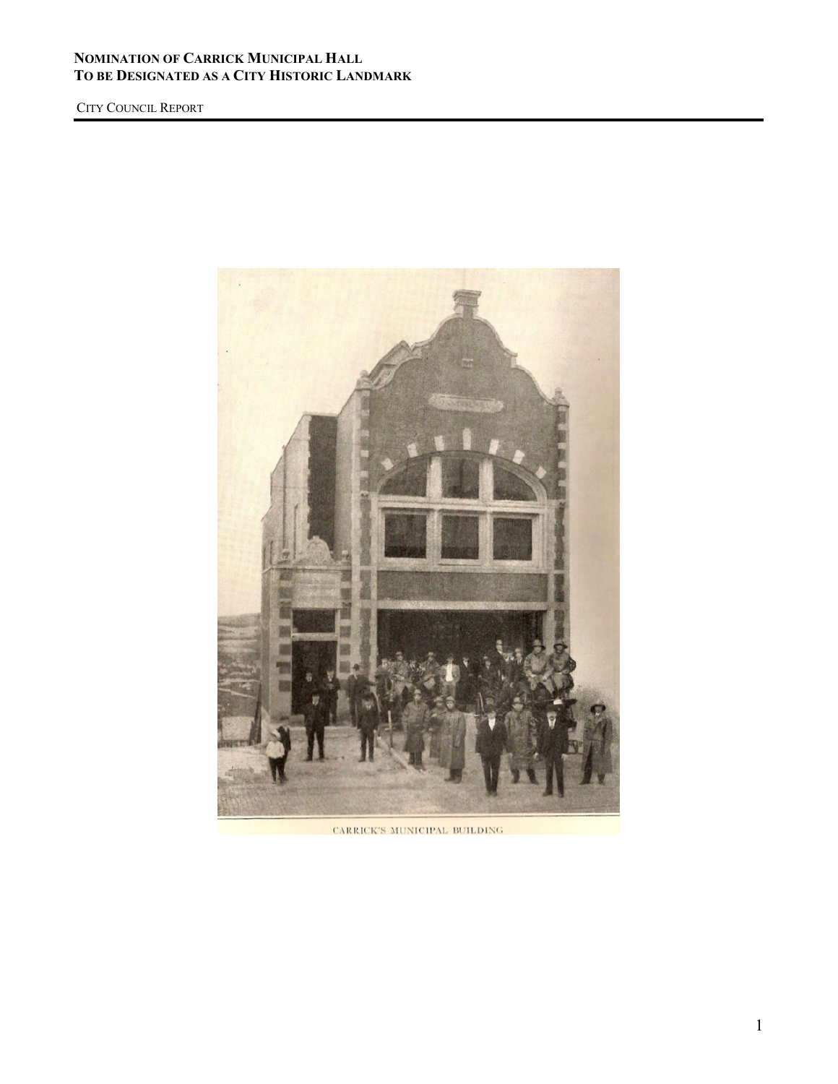CITY COUNCIL REPORT



CARRICK'S MUNICIPAL BUILDING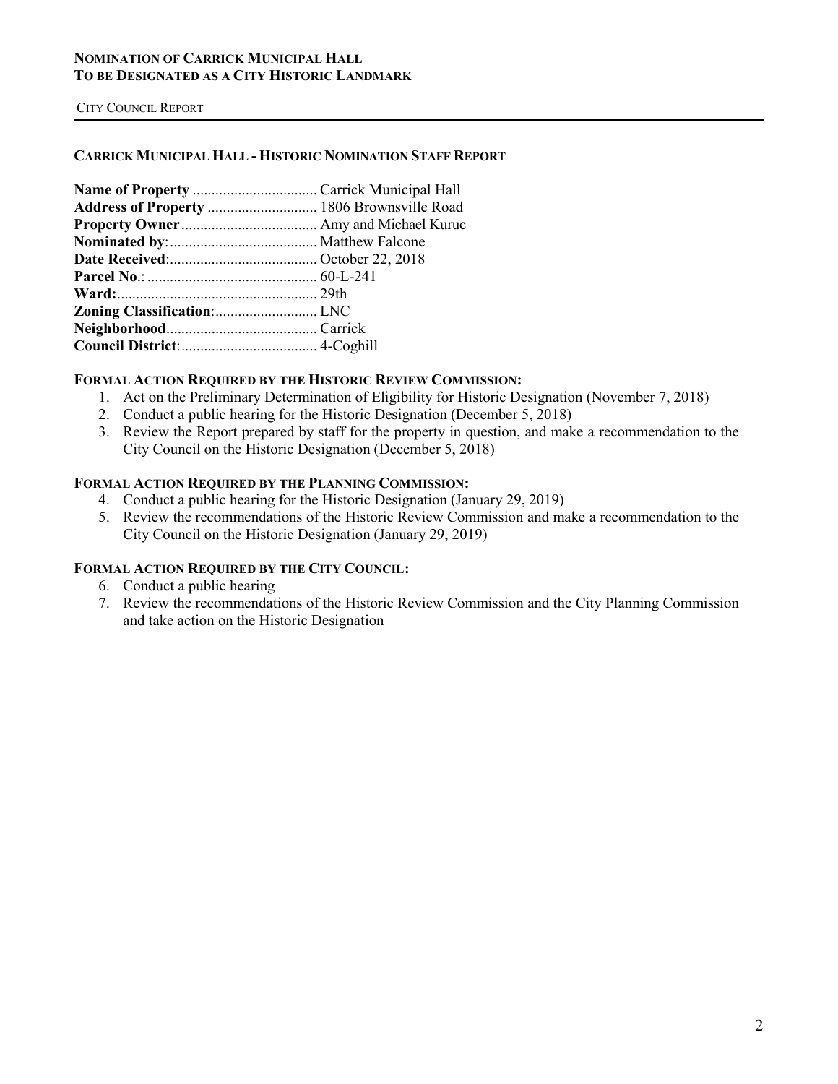CITY COUNCIL REPORT

## **CARRICK MUNICIPAL HALL - HISTORIC NOMINATION STAFF REPORT**

| Address of Property  1806 Brownsville Road |  |
|--------------------------------------------|--|
|                                            |  |
|                                            |  |
|                                            |  |
|                                            |  |
|                                            |  |
|                                            |  |
|                                            |  |
|                                            |  |

## **FORMAL ACTION REQUIRED BY THE HISTORIC REVIEW COMMISSION:**

- 1. Act on the Preliminary Determination of Eligibility for Historic Designation (November 7, 2018)
- 2. Conduct a public hearing for the Historic Designation (December 5, 2018)
- 3. Review the Report prepared by staff for the property in question, and make a recommendation to the City Council on the Historic Designation (December 5, 2018)

## **FORMAL ACTION REQUIRED BY THE PLANNING COMMISSION:**

- 4. Conduct a public hearing for the Historic Designation (January 29, 2019)
- 5. Review the recommendations of the Historic Review Commission and make a recommendation to the City Council on the Historic Designation (January 29, 2019)

## **FORMAL ACTION REQUIRED BY THE CITY COUNCIL:**

- 6. Conduct a public hearing
- 7. Review the recommendations of the Historic Review Commission and the City Planning Commission and take action on the Historic Designation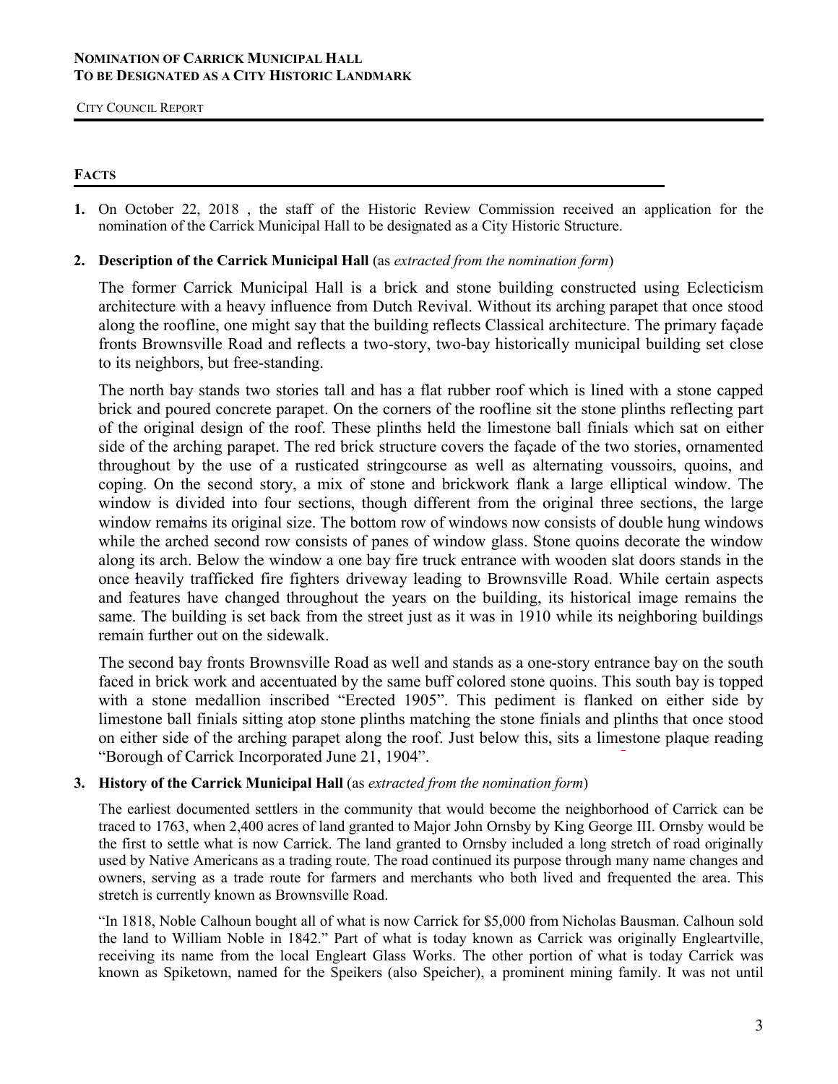CITY COUNCIL REPORT

## **FACTS**

**1.** On October 22, 2018 , the staff of the Historic Review Commission received an application for the nomination of the Carrick Municipal Hall to be designated as a City Historic Structure.

## **2. Description of the Carrick Municipal Hall** (as *extracted from the nomination form*)

The former Carrick Municipal Hall is a brick and stone building constructed using Eclecticism architecture with a heavy influence from Dutch Revival. Without its arching parapet that once stood along the roofline, one might say that the building reflects Classical architecture. The primary façade fronts Brownsville Road and reflects a two-story, two-bay historically municipal building set close to its neighbors, but free-standing.

The north bay stands two stories tall and has a flat rubber roof which is lined with a stone capped brick and poured concrete parapet. On the corners of the roofline sit the stone plinths reflecting part of the original design of the roof. These plinths held the limestone ball finials which sat on either side of the arching parapet. The red brick structure covers the façade of the two stories, ornamented throughout by the use of a rusticated stringcourse as well as alternating voussoirs, quoins, and coping. On the second story, a mix of stone and brickwork flank a large elliptical window. The window is divided into four sections, though different from the original three sections, the large window remains its original size. The bottom row of windows now consists of double hung windows while the arched second row consists of panes of window glass. Stone quoins decorate the window along its arch. Below the window a one bay fire truck entrance with wooden slat doors stands in the once heavily trafficked fire fighters driveway leading to Brownsville Road. While certain aspects and features have changed throughout the years on the building, its historical image remains the same. The building is set back from the street just as it was in 1910 while its neighboring buildings remain further out on the sidewalk.

The second bay fronts Brownsville Road as well and stands as a one-story entrance bay on the south faced in brick work and accentuated by the same buff colored stone quoins. This south bay is topped with a stone medallion inscribed "Erected 1905". This pediment is flanked on either side by limestone ball finials sitting atop stone plinths matching the stone finials and plinths that once stood on either side of the arching parapet along the roof. Just below this, sits a limestone plaque reading "Borough of Carrick Incorporated June 21, 1904".

## **3. History of the Carrick Municipal Hall** (as *extracted from the nomination form*)

The earliest documented settlers in the community that would become the neighborhood of Carrick can be traced to 1763, when 2,400 acres of land granted to Major John Ornsby by King George III. Ornsby would be the first to settle what is now Carrick. The land granted to Ornsby included a long stretch of road originally used by Native Americans as a trading route. The road continued its purpose through many name changes and owners, serving as a trade route for farmers and merchants who both lived and frequented the area. This stretch is currently known as Brownsville Road.

"In 1818, Noble Calhoun bought all of what is now Carrick for \$5,000 from Nicholas Bausman. Calhoun sold the land to William Noble in 1842." Part of what is today known as Carrick was originally Engleartville, receiving its name from the local Engleart Glass Works. The other portion of what is today Carrick was known as Spiketown, named for the Speikers (also Speicher), a prominent mining family. It was not until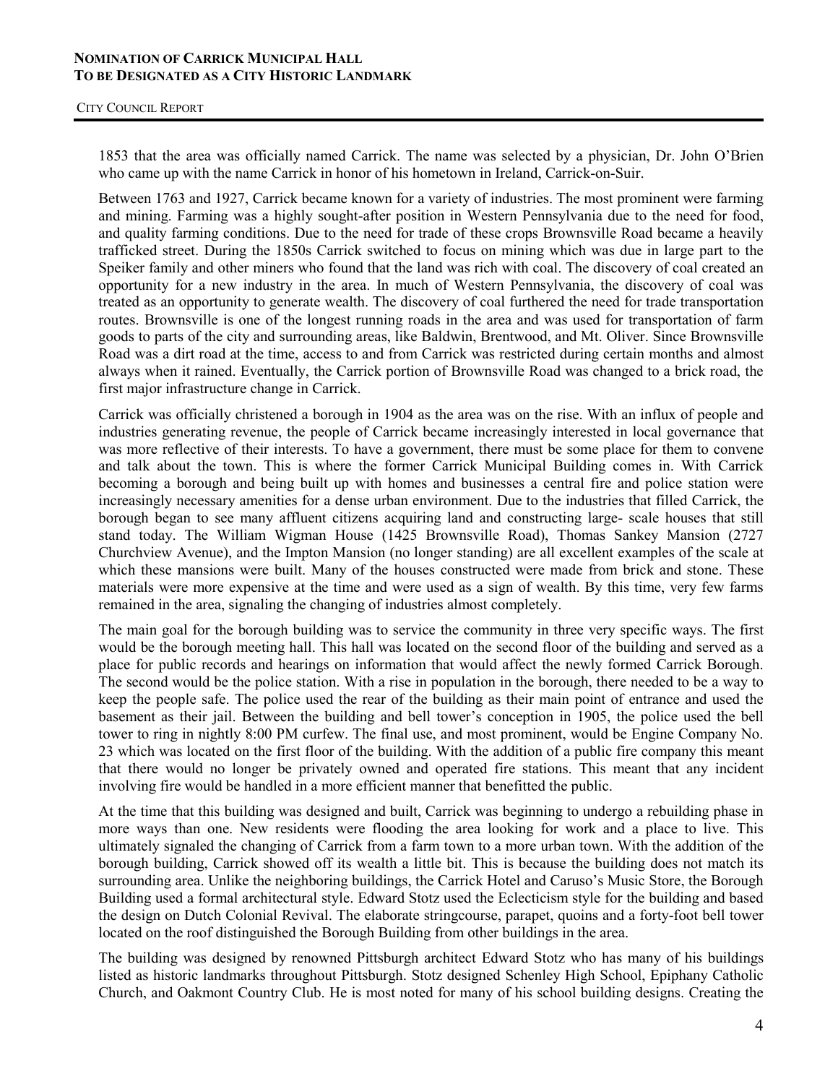#### CITY COUNCIL REPORT

1853 that the area was officially named Carrick. The name was selected by a physician, Dr. John O'Brien who came up with the name Carrick in honor of his hometown in Ireland, Carrick-on-Suir.

Between 1763 and 1927, Carrick became known for a variety of industries. The most prominent were farming and mining. Farming was a highly sought-after position in Western Pennsylvania due to the need for food, and quality farming conditions. Due to the need for trade of these crops Brownsville Road became a heavily trafficked street. During the 1850s Carrick switched to focus on mining which was due in large part to the Speiker family and other miners who found that the land was rich with coal. The discovery of coal created an opportunity for a new industry in the area. In much of Western Pennsylvania, the discovery of coal was treated as an opportunity to generate wealth. The discovery of coal furthered the need for trade transportation routes. Brownsville is one of the longest running roads in the area and was used for transportation of farm goods to parts of the city and surrounding areas, like Baldwin, Brentwood, and Mt. Oliver. Since Brownsville Road was a dirt road at the time, access to and from Carrick was restricted during certain months and almost always when it rained. Eventually, the Carrick portion of Brownsville Road was changed to a brick road, the first major infrastructure change in Carrick.

Carrick was officially christened a borough in 1904 as the area was on the rise. With an influx of people and industries generating revenue, the people of Carrick became increasingly interested in local governance that was more reflective of their interests. To have a government, there must be some place for them to convene and talk about the town. This is where the former Carrick Municipal Building comes in. With Carrick becoming a borough and being built up with homes and businesses a central fire and police station were increasingly necessary amenities for a dense urban environment. Due to the industries that filled Carrick, the borough began to see many affluent citizens acquiring land and constructing large- scale houses that still stand today. The William Wigman House (1425 Brownsville Road), Thomas Sankey Mansion (2727 Churchview Avenue), and the Impton Mansion (no longer standing) are all excellent examples of the scale at which these mansions were built. Many of the houses constructed were made from brick and stone. These materials were more expensive at the time and were used as a sign of wealth. By this time, very few farms remained in the area, signaling the changing of industries almost completely.

The main goal for the borough building was to service the community in three very specific ways. The first would be the borough meeting hall. This hall was located on the second floor of the building and served as a place for public records and hearings on information that would affect the newly formed Carrick Borough. The second would be the police station. With a rise in population in the borough, there needed to be a way to keep the people safe. The police used the rear of the building as their main point of entrance and used the basement as their jail. Between the building and bell tower's conception in 1905, the police used the bell tower to ring in nightly 8:00 PM curfew. The final use, and most prominent, would be Engine Company No. 23 which was located on the first floor of the building. With the addition of a public fire company this meant that there would no longer be privately owned and operated fire stations. This meant that any incident involving fire would be handled in a more efficient manner that benefitted the public.

At the time that this building was designed and built, Carrick was beginning to undergo a rebuilding phase in more ways than one. New residents were flooding the area looking for work and a place to live. This ultimately signaled the changing of Carrick from a farm town to a more urban town. With the addition of the borough building, Carrick showed off its wealth a little bit. This is because the building does not match its surrounding area. Unlike the neighboring buildings, the Carrick Hotel and Caruso's Music Store, the Borough Building used a formal architectural style. Edward Stotz used the Eclecticism style for the building and based the design on Dutch Colonial Revival. The elaborate stringcourse, parapet, quoins and a forty-foot bell tower located on the roof distinguished the Borough Building from other buildings in the area.

The building was designed by renowned Pittsburgh architect Edward Stotz who has many of his buildings listed as historic landmarks throughout Pittsburgh. Stotz designed Schenley High School, Epiphany Catholic Church, and Oakmont Country Club. He is most noted for many of his school building designs. Creating the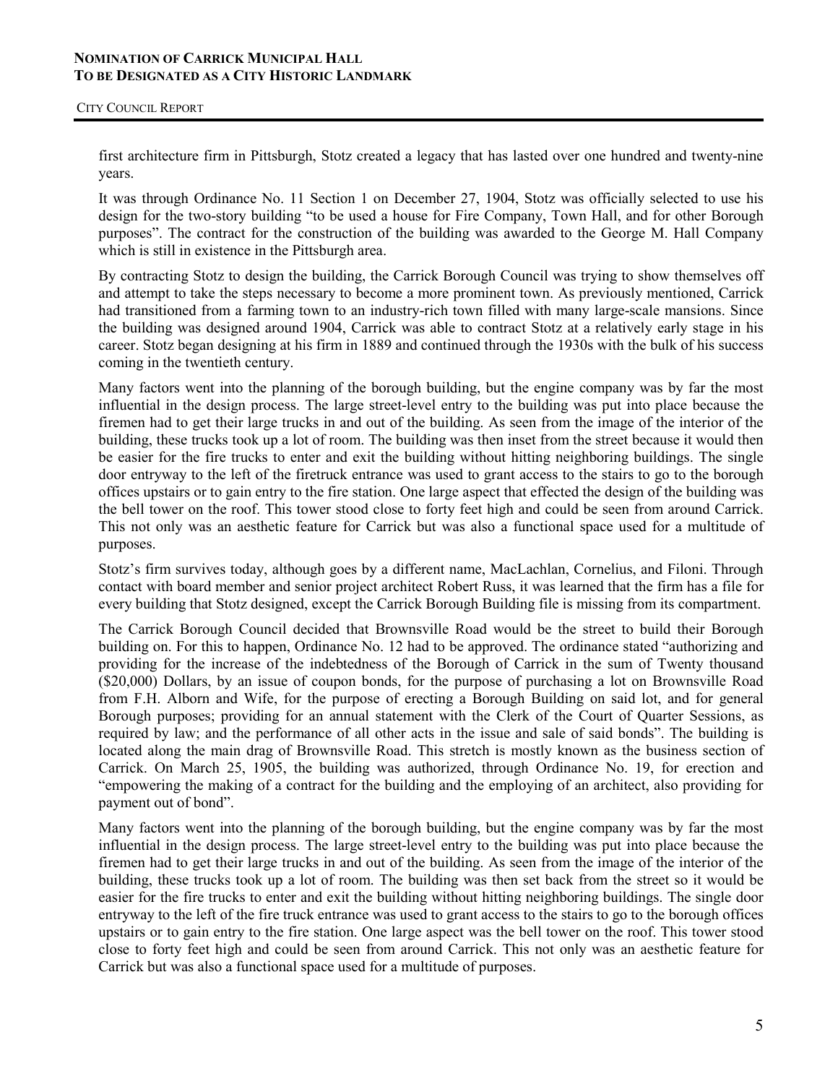#### CITY COUNCIL REPORT

first architecture firm in Pittsburgh, Stotz created a legacy that has lasted over one hundred and twenty-nine years.

It was through Ordinance No. 11 Section 1 on December 27, 1904, Stotz was officially selected to use his design for the two-story building "to be used a house for Fire Company, Town Hall, and for other Borough purposes". The contract for the construction of the building was awarded to the George M. Hall Company which is still in existence in the Pittsburgh area.

By contracting Stotz to design the building, the Carrick Borough Council was trying to show themselves off and attempt to take the steps necessary to become a more prominent town. As previously mentioned, Carrick had transitioned from a farming town to an industry-rich town filled with many large-scale mansions. Since the building was designed around 1904, Carrick was able to contract Stotz at a relatively early stage in his career. Stotz began designing at his firm in 1889 and continued through the 1930s with the bulk of his success coming in the twentieth century.

Many factors went into the planning of the borough building, but the engine company was by far the most influential in the design process. The large street-level entry to the building was put into place because the firemen had to get their large trucks in and out of the building. As seen from the image of the interior of the building, these trucks took up a lot of room. The building was then inset from the street because it would then be easier for the fire trucks to enter and exit the building without hitting neighboring buildings. The single door entryway to the left of the firetruck entrance was used to grant access to the stairs to go to the borough offices upstairs or to gain entry to the fire station. One large aspect that effected the design of the building was the bell tower on the roof. This tower stood close to forty feet high and could be seen from around Carrick. This not only was an aesthetic feature for Carrick but was also a functional space used for a multitude of purposes.

Stotz's firm survives today, although goes by a different name, MacLachlan, Cornelius, and Filoni. Through contact with board member and senior project architect Robert Russ, it was learned that the firm has a file for every building that Stotz designed, except the Carrick Borough Building file is missing from its compartment.

The Carrick Borough Council decided that Brownsville Road would be the street to build their Borough building on. For this to happen, Ordinance No. 12 had to be approved. The ordinance stated "authorizing and providing for the increase of the indebtedness of the Borough of Carrick in the sum of Twenty thousand (\$20,000) Dollars, by an issue of coupon bonds, for the purpose of purchasing a lot on Brownsville Road from F.H. Alborn and Wife, for the purpose of erecting a Borough Building on said lot, and for general Borough purposes; providing for an annual statement with the Clerk of the Court of Quarter Sessions, as required by law; and the performance of all other acts in the issue and sale of said bonds". The building is located along the main drag of Brownsville Road. This stretch is mostly known as the business section of Carrick. On March 25, 1905, the building was authorized, through Ordinance No. 19, for erection and "empowering the making of a contract for the building and the employing of an architect, also providing for payment out of bond".

Many factors went into the planning of the borough building, but the engine company was by far the most influential in the design process. The large street-level entry to the building was put into place because the firemen had to get their large trucks in and out of the building. As seen from the image of the interior of the building, these trucks took up a lot of room. The building was then set back from the street so it would be easier for the fire trucks to enter and exit the building without hitting neighboring buildings. The single door entryway to the left of the fire truck entrance was used to grant access to the stairs to go to the borough offices upstairs or to gain entry to the fire station. One large aspect was the bell tower on the roof. This tower stood close to forty feet high and could be seen from around Carrick. This not only was an aesthetic feature for Carrick but was also a functional space used for a multitude of purposes.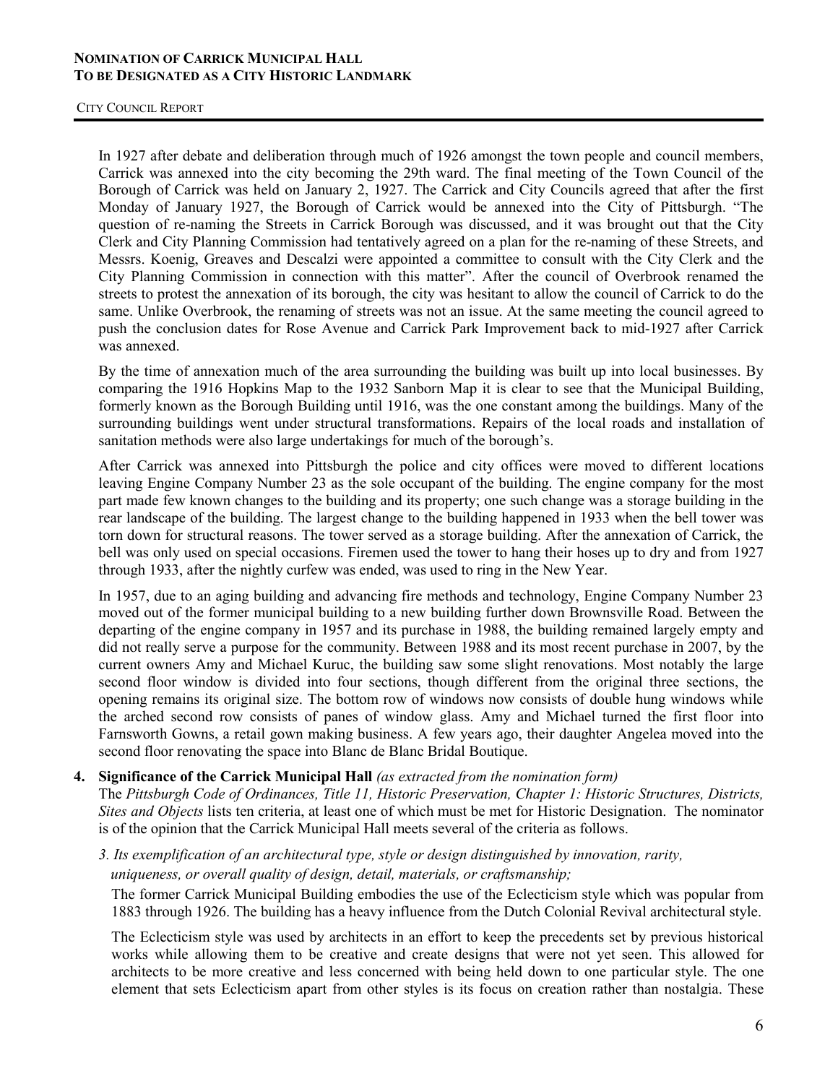#### CITY COUNCIL REPORT

In 1927 after debate and deliberation through much of 1926 amongst the town people and council members, Carrick was annexed into the city becoming the 29th ward. The final meeting of the Town Council of the Borough of Carrick was held on January 2, 1927. The Carrick and City Councils agreed that after the first Monday of January 1927, the Borough of Carrick would be annexed into the City of Pittsburgh. "The question of re-naming the Streets in Carrick Borough was discussed, and it was brought out that the City Clerk and City Planning Commission had tentatively agreed on a plan for the re-naming of these Streets, and Messrs. Koenig, Greaves and Descalzi were appointed a committee to consult with the City Clerk and the City Planning Commission in connection with this matter". After the council of Overbrook renamed the streets to protest the annexation of its borough, the city was hesitant to allow the council of Carrick to do the same. Unlike Overbrook, the renaming of streets was not an issue. At the same meeting the council agreed to push the conclusion dates for Rose Avenue and Carrick Park Improvement back to mid-1927 after Carrick was annexed.

By the time of annexation much of the area surrounding the building was built up into local businesses. By comparing the 1916 Hopkins Map to the 1932 Sanborn Map it is clear to see that the Municipal Building, formerly known as the Borough Building until 1916, was the one constant among the buildings. Many of the surrounding buildings went under structural transformations. Repairs of the local roads and installation of sanitation methods were also large undertakings for much of the borough's.

After Carrick was annexed into Pittsburgh the police and city offices were moved to different locations leaving Engine Company Number 23 as the sole occupant of the building. The engine company for the most part made few known changes to the building and its property; one such change was a storage building in the rear landscape of the building. The largest change to the building happened in 1933 when the bell tower was torn down for structural reasons. The tower served as a storage building. After the annexation of Carrick, the bell was only used on special occasions. Firemen used the tower to hang their hoses up to dry and from 1927 through 1933, after the nightly curfew was ended, was used to ring in the New Year.

In 1957, due to an aging building and advancing fire methods and technology, Engine Company Number 23 moved out of the former municipal building to a new building further down Brownsville Road. Between the departing of the engine company in 1957 and its purchase in 1988, the building remained largely empty and did not really serve a purpose for the community. Between 1988 and its most recent purchase in 2007, by the current owners Amy and Michael Kuruc, the building saw some slight renovations. Most notably the large second floor window is divided into four sections, though different from the original three sections, the opening remains its original size. The bottom row of windows now consists of double hung windows while the arched second row consists of panes of window glass. Amy and Michael turned the first floor into Farnsworth Gowns, a retail gown making business. A few years ago, their daughter Angelea moved into the second floor renovating the space into Blanc de Blanc Bridal Boutique.

## **4. Significance of the Carrick Municipal Hall** *(as extracted from the nomination form)*

The *Pittsburgh Code of Ordinances, Title 11, Historic Preservation, Chapter 1: Historic Structures, Districts, Sites and Objects* lists ten criteria, at least one of which must be met for Historic Designation. The nominator is of the opinion that the Carrick Municipal Hall meets several of the criteria as follows.

## *3. Its exemplification of an architectural type, style or design distinguished by innovation, rarity, uniqueness, or overall quality of design, detail, materials, or craftsmanship;*

The former Carrick Municipal Building embodies the use of the Eclecticism style which was popular from 1883 through 1926. The building has a heavy influence from the Dutch Colonial Revival architectural style.

The Eclecticism style was used by architects in an effort to keep the precedents set by previous historical works while allowing them to be creative and create designs that were not yet seen. This allowed for architects to be more creative and less concerned with being held down to one particular style. The one element that sets Eclecticism apart from other styles is its focus on creation rather than nostalgia. These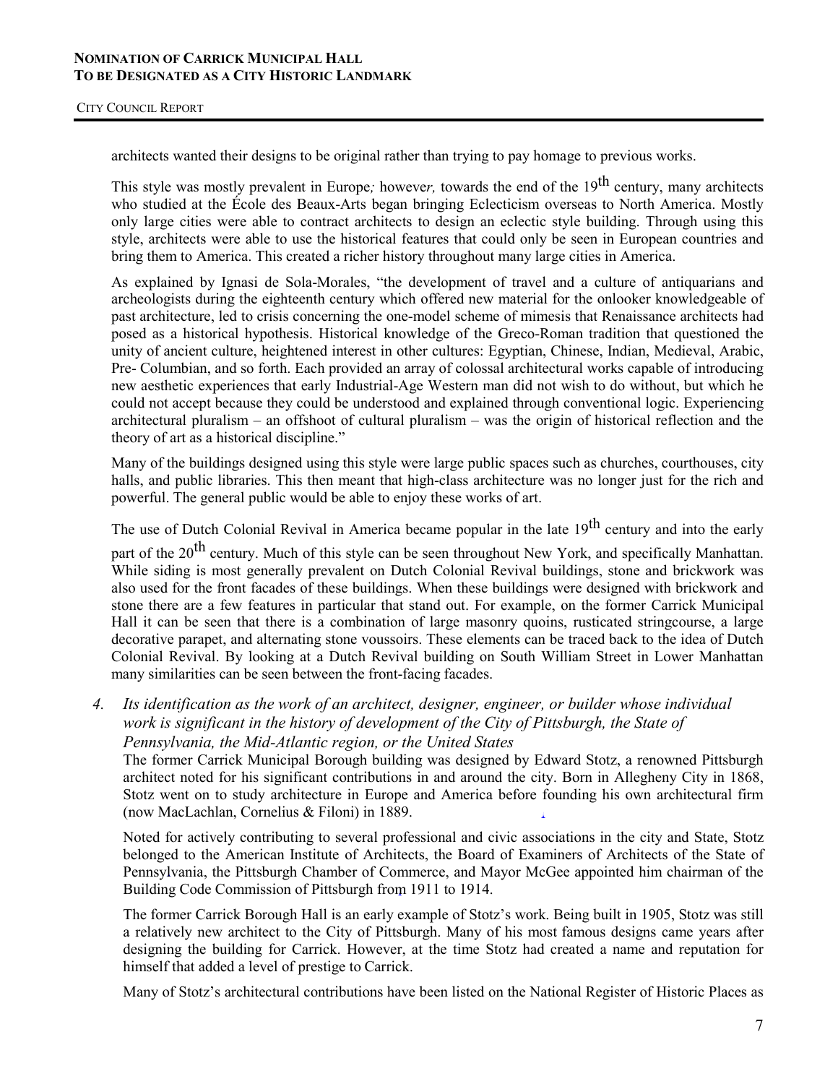#### CITY COUNCIL REPORT

architects wanted their designs to be original rather than trying to pay homage to previous works.

This style was mostly prevalent in Europe*;* howeve*r,* towards the end of the 19th century, many architects who studied at the École des Beaux-Arts began bringing Eclecticism overseas to North America. Mostly only large cities were able to contract architects to design an eclectic style building. Through using this style, architects were able to use the historical features that could only be seen in European countries and bring them to America. This created a richer history throughout many large cities in America.

As explained by Ignasi de Sola-Morales, "the development of travel and a culture of antiquarians and archeologists during the eighteenth century which offered new material for the onlooker knowledgeable of past architecture, led to crisis concerning the one-model scheme of mimesis that Renaissance architects had posed as a historical hypothesis. Historical knowledge of the Greco-Roman tradition that questioned the unity of ancient culture, heightened interest in other cultures: Egyptian, Chinese, Indian, Medieval, Arabic, Pre- Columbian, and so forth. Each provided an array of colossal architectural works capable of introducing new aesthetic experiences that early Industrial-Age Western man did not wish to do without, but which he could not accept because they could be understood and explained through conventional logic. Experiencing architectural pluralism – an offshoot of cultural pluralism – was the origin of historical reflection and the theory of art as a historical discipline."

Many of the buildings designed using this style were large public spaces such as churches, courthouses, city halls, and public libraries. This then meant that high-class architecture was no longer just for the rich and powerful. The general public would be able to enjoy these works of art.

The use of Dutch Colonial Revival in America became popular in the late  $19<sup>th</sup>$  century and into the early

part of the 20<sup>th</sup> century. Much of this style can be seen throughout New York, and specifically Manhattan. While siding is most generally prevalent on Dutch Colonial Revival buildings, stone and brickwork was also used for the front facades of these buildings. When these buildings were designed with brickwork and stone there are a few features in particular that stand out. For example, on the former Carrick Municipal Hall it can be seen that there is a combination of large masonry quoins, rusticated stringcourse, a large decorative parapet, and alternating stone voussoirs. These elements can be traced back to the idea of Dutch Colonial Revival. By looking at a Dutch Revival building on South William Street in Lower Manhattan many similarities can be seen between the front-facing facades.

*4. Its identification as the work of an architect, designer, engineer, or builder whose individual work is significant in the history of development of the City of Pittsburgh, the State of Pennsylvania, the Mid-Atlantic region, or the United States*

The former Carrick Municipal Borough building was designed by Edward Stotz, a renowned Pittsburgh architect noted for his significant contributions in and around the city. Born in Allegheny City in 1868, Stotz went on to study architecture in Europe and America before founding his own architectural firm (now MacLachlan, Cornelius & Filoni) in 1889.

Noted for actively contributing to several professional and civic associations in the city and State, Stotz belonged to the American Institute of Architects, the Board of Examiners of Architects of the State of Pennsylvania, the Pittsburgh Chamber of Commerce, and Mayor McGee appointed him chairman of the Building Code Commission of Pittsburgh from 1911 to 1914.

The former Carrick Borough Hall is an early example of Stotz's work. Being built in 1905, Stotz was still a relatively new architect to the City of Pittsburgh. Many of his most famous designs came years after designing the building for Carrick. However, at the time Stotz had created a name and reputation for himself that added a level of prestige to Carrick.

Many of Stotz's architectural contributions have been listed on the National Register of Historic Places as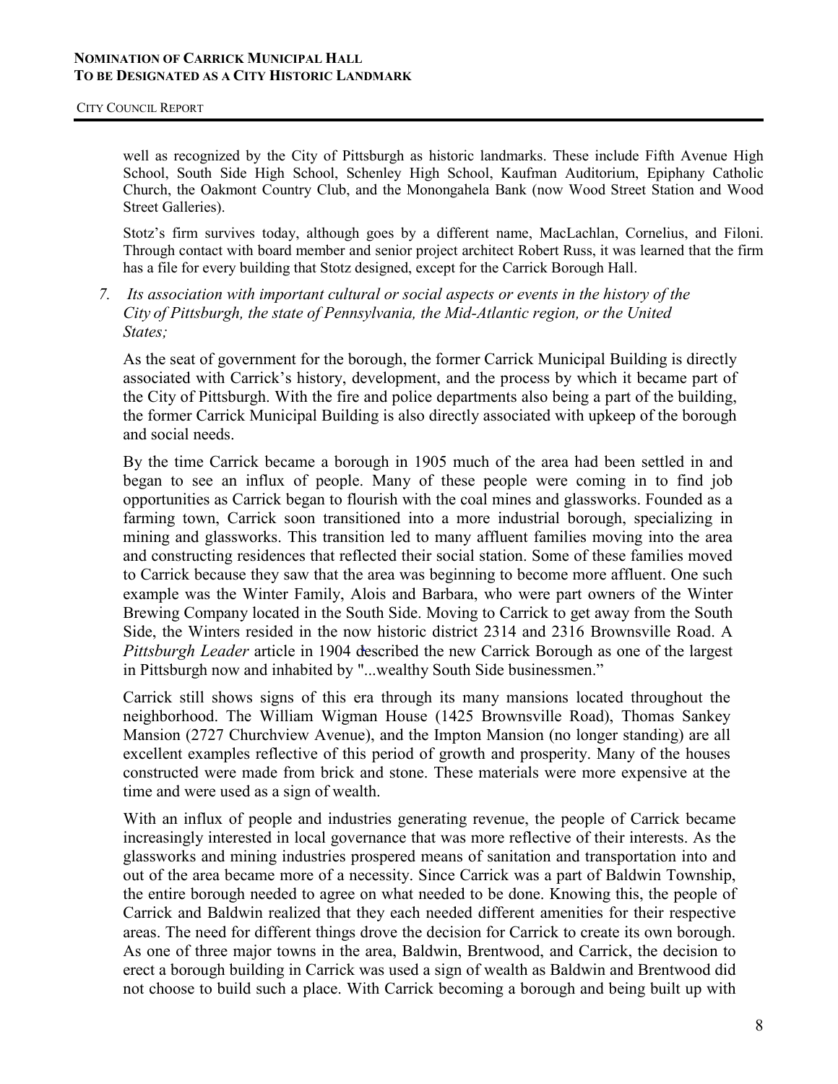well as recognized by the City of Pittsburgh as historic landmarks. These include Fifth Avenue High School, South Side High School, Schenley High School, Kaufman Auditorium, Epiphany Catholic Church, the Oakmont Country Club, and the Monongahela Bank (now Wood Street Station and Wood Street Galleries).

Stotz's firm survives today, although goes by a different name, MacLachlan, Cornelius, and Filoni. Through contact with board member and senior project architect Robert Russ, it was learned that the firm has a file for every building that Stotz designed, except for the Carrick Borough Hall.

*7. Its association with important cultural or social aspects or events in the history of the City of Pittsburgh, the state of Pennsylvania, the Mid-Atlantic region, or the United States;*

As the seat of government for the borough, the former Carrick Municipal Building is directly associated with Carrick's history, development, and the process by which it became part of the City of Pittsburgh. With the fire and police departments also being a part of the building, the former Carrick Municipal Building is also directly associated with upkeep of the borough and social needs.

By the time Carrick became a borough in 1905 much of the area had been settled in and began to see an influx of people. Many of these people were coming in to find job opportunities as Carrick began to flourish with the coal mines and glassworks. Founded as a farming town, Carrick soon transitioned into a more industrial borough, specializing in mining and glassworks. This transition led to many affluent families moving into the area and constructing residences that reflected their social station. Some of these families moved to Carrick because they saw that the area was beginning to become more affluent. One such example was the Winter Family, Alois and Barbara, who were part owners of the Winter Brewing Company located in the South Side. Moving to Carrick to get away from the South Side, the Winters resided in the now historic district 2314 and 2316 Brownsville Road. A *Pittsburgh Leader* article in 1904 described the new Carrick Borough as one of the largest in Pittsburgh now and inhabited by "...wealthy South Side businessmen."

Carrick still shows signs of this era through its many mansions located throughout the neighborhood. The William Wigman House (1425 Brownsville Road), Thomas Sankey Mansion (2727 Churchview Avenue), and the Impton Mansion (no longer standing) are all excellent examples reflective of this period of growth and prosperity. Many of the houses constructed were made from brick and stone. These materials were more expensive at the time and were used as a sign of wealth.

With an influx of people and industries generating revenue, the people of Carrick became increasingly interested in local governance that was more reflective of their interests. As the glassworks and mining industries prospered means of sanitation and transportation into and out of the area became more of a necessity. Since Carrick was a part of Baldwin Township, the entire borough needed to agree on what needed to be done. Knowing this, the people of Carrick and Baldwin realized that they each needed different amenities for their respective areas. The need for different things drove the decision for Carrick to create its own borough. As one of three major towns in the area, Baldwin, Brentwood, and Carrick, the decision to erect a borough building in Carrick was used a sign of wealth as Baldwin and Brentwood did not choose to build such a place. With Carrick becoming a borough and being built up with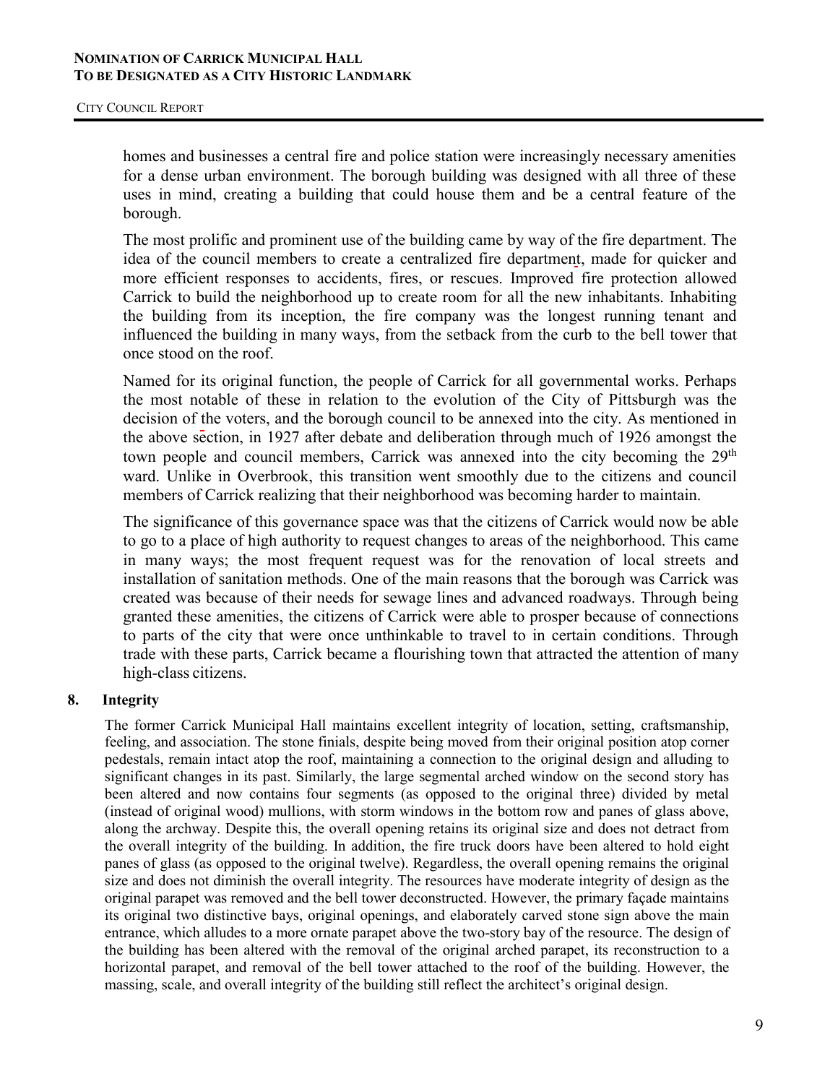homes and businesses a central fire and police station were increasingly necessary amenities for a dense urban environment. The borough building was designed with all three of these uses in mind, creating a building that could house them and be a central feature of the borough.

The most prolific and prominent use of the building came by way of the fire department. The idea of the council members to create a centralized fire department, made for quicker and more efficient responses to accidents, fires, or rescues. Improved fire protection allowed Carrick to build the neighborhood up to create room for all the new inhabitants. Inhabiting the building from its inception, the fire company was the longest running tenant and influenced the building in many ways, from the setback from the curb to the bell tower that once stood on the roof.

Named for its original function, the people of Carrick for all governmental works. Perhaps the most notable of these in relation to the evolution of the City of Pittsburgh was the decision of the voters, and the borough council to be annexed into the city. As mentioned in the above section, in 1927 after debate and deliberation through much of 1926 amongst the town people and council members, Carrick was annexed into the city becoming the  $29<sup>th</sup>$ ward. Unlike in Overbrook, this transition went smoothly due to the citizens and council members of Carrick realizing that their neighborhood was becoming harder to maintain.

The significance of this governance space was that the citizens of Carrick would now be able to go to a place of high authority to request changes to areas of the neighborhood. This came in many ways; the most frequent request was for the renovation of local streets and installation of sanitation methods. One of the main reasons that the borough was Carrick was created was because of their needs for sewage lines and advanced roadways. Through being granted these amenities, the citizens of Carrick were able to prosper because of connections to parts of the city that were once unthinkable to travel to in certain conditions. Through trade with these parts, Carrick became a flourishing town that attracted the attention of many high-class citizens.

## **8. Integrity**

The former Carrick Municipal Hall maintains excellent integrity of location, setting, craftsmanship, feeling, and association. The stone finials, despite being moved from their original position atop corner pedestals, remain intact atop the roof, maintaining a connection to the original design and alluding to significant changes in its past. Similarly, the large segmental arched window on the second story has been altered and now contains four segments (as opposed to the original three) divided by metal (instead of original wood) mullions, with storm windows in the bottom row and panes of glass above, along the archway. Despite this, the overall opening retains its original size and does not detract from the overall integrity of the building. In addition, the fire truck doors have been altered to hold eight panes of glass (as opposed to the original twelve). Regardless, the overall opening remains the original size and does not diminish the overall integrity. The resources have moderate integrity of design as the original parapet was removed and the bell tower deconstructed. However, the primary façade maintains its original two distinctive bays, original openings, and elaborately carved stone sign above the main entrance, which alludes to a more ornate parapet above the two-story bay of the resource. The design of the building has been altered with the removal of the original arched parapet, its reconstruction to a horizontal parapet, and removal of the bell tower attached to the roof of the building. However, the massing, scale, and overall integrity of the building still reflect the architect's original design.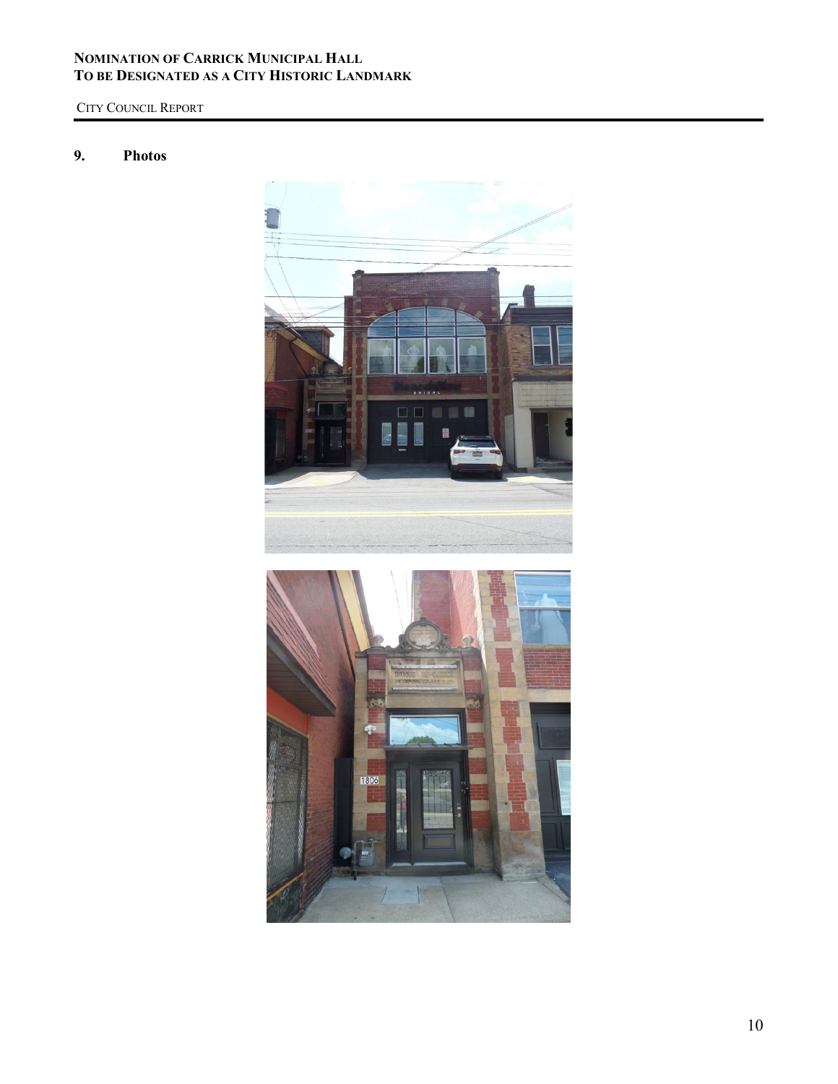## CITY COUNCIL REPORT

## **9. Photos**



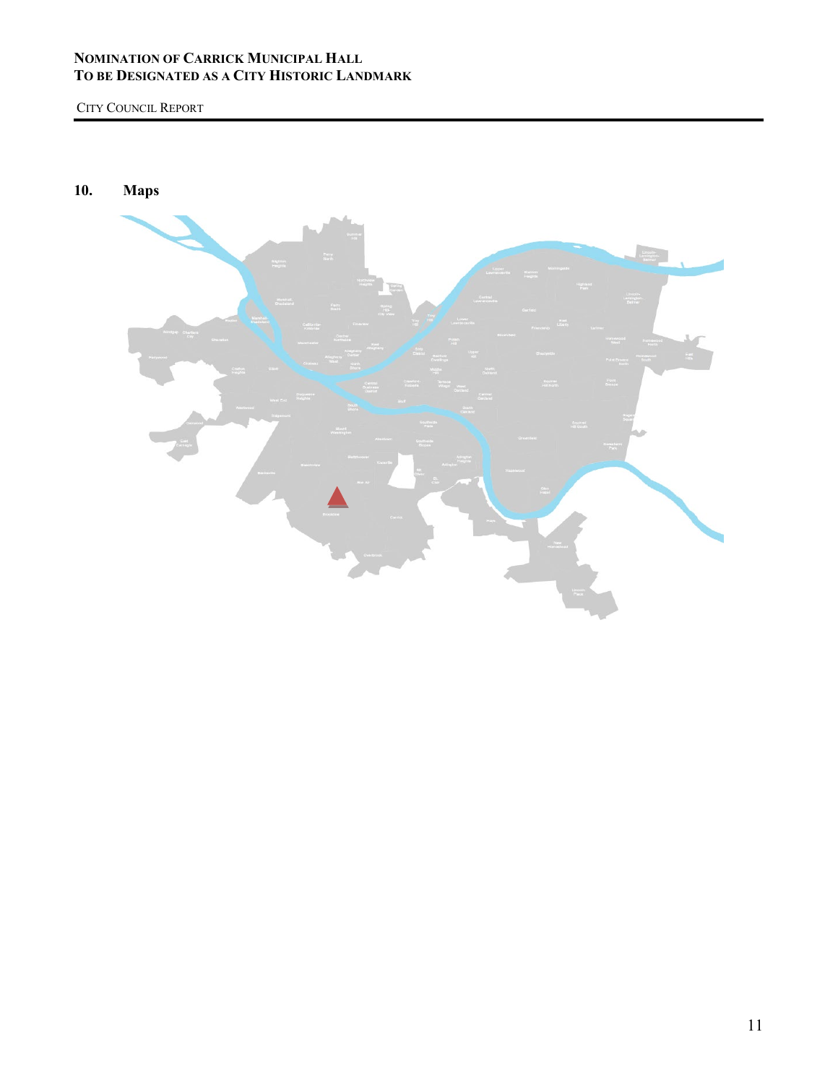CITY COUNCIL REPORT

**10. Maps**

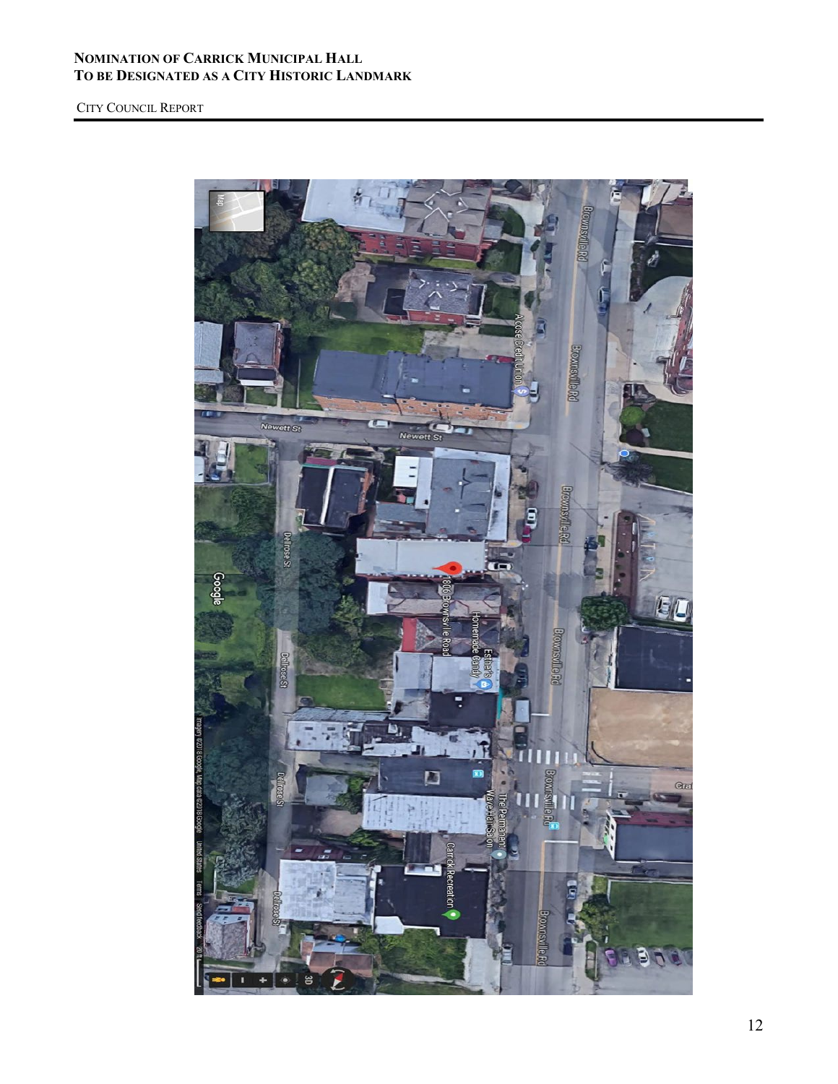# CITY COUNCIL REPORT

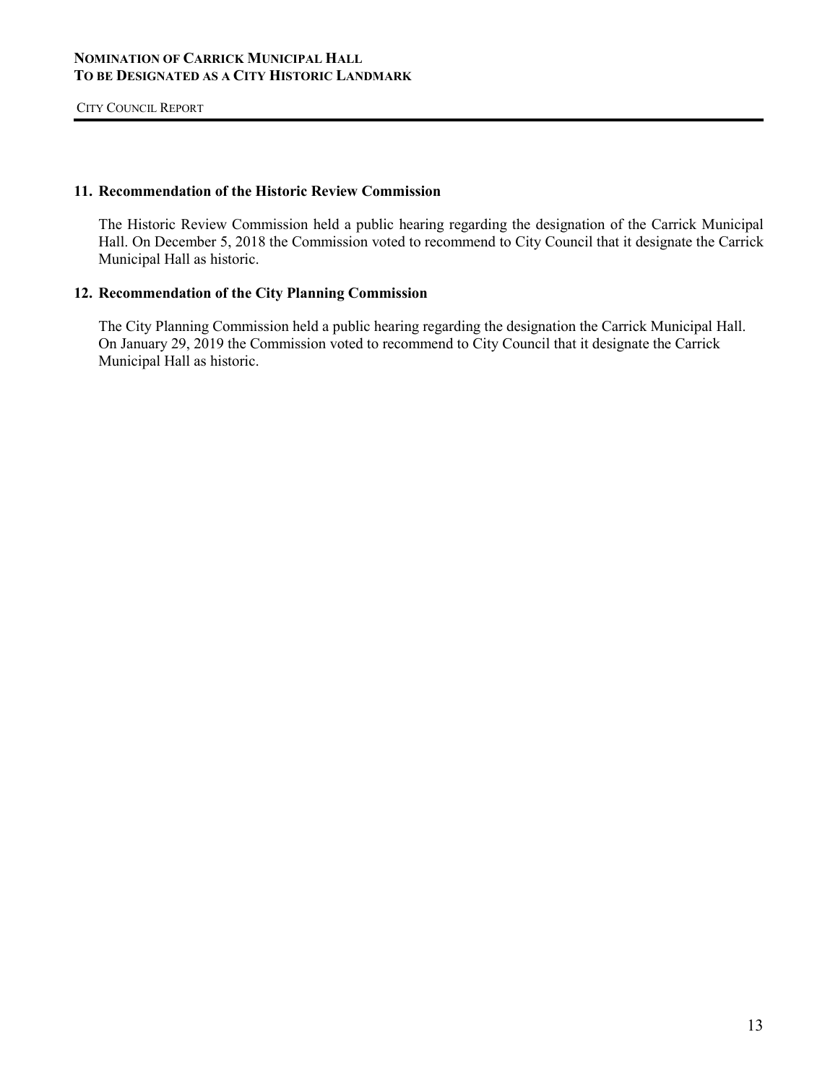CITY COUNCIL REPORT

#### **11. Recommendation of the Historic Review Commission**

The Historic Review Commission held a public hearing regarding the designation of the Carrick Municipal Hall. On December 5, 2018 the Commission voted to recommend to City Council that it designate the Carrick Municipal Hall as historic.

## **12. Recommendation of the City Planning Commission**

The City Planning Commission held a public hearing regarding the designation the Carrick Municipal Hall. On January 29, 2019 the Commission voted to recommend to City Council that it designate the Carrick Municipal Hall as historic.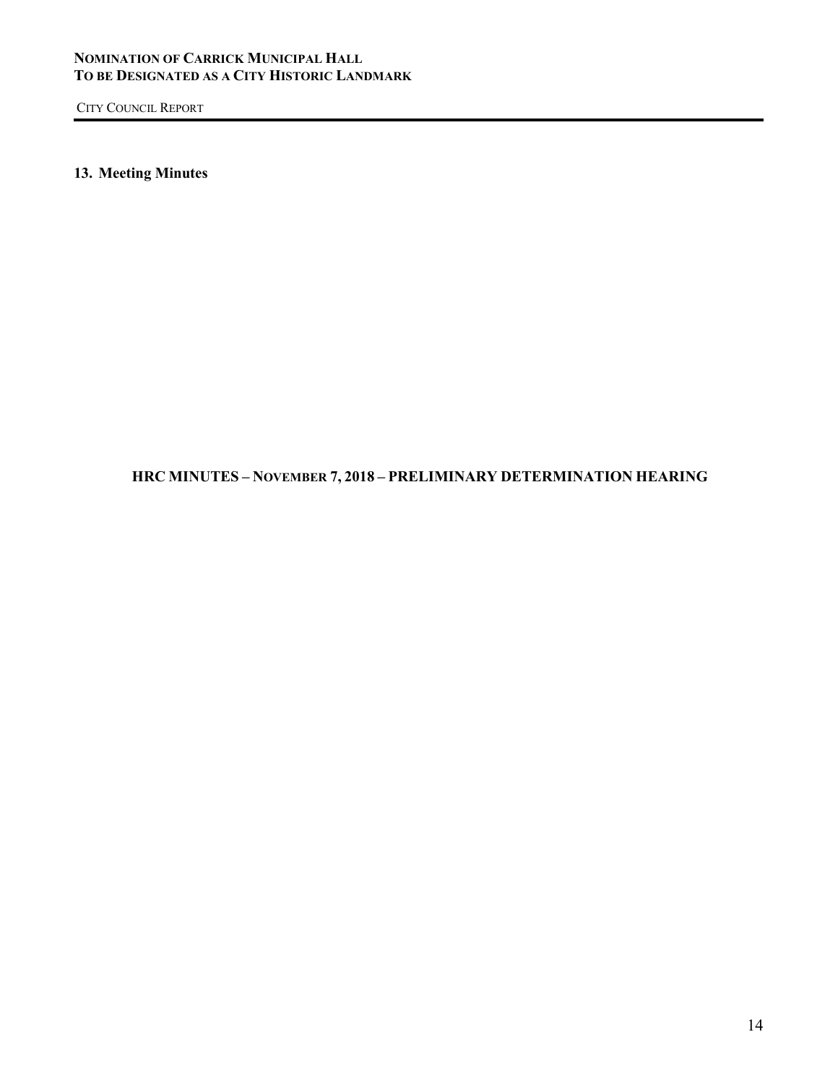CITY COUNCIL REPORT

**13. Meeting Minutes**

**HRC MINUTES – NOVEMBER 7, 2018 – PRELIMINARY DETERMINATION HEARING**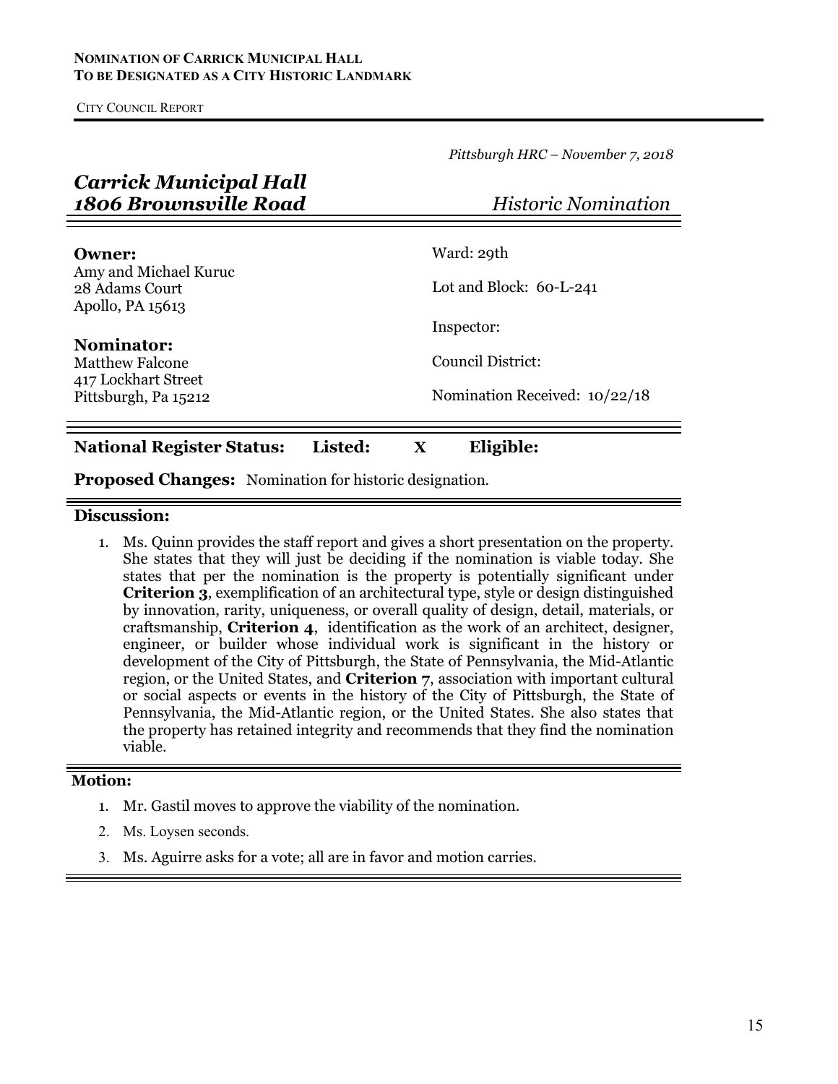CITY COUNCIL REPORT

# *Carrick Municipal Hall 1806 Brownsville Road*

*Pittsburgh HRC – November 7, 2018*

# *Historic Nomination*

| Owner:                                  | Ward: 29th                    |
|-----------------------------------------|-------------------------------|
| Amy and Michael Kuruc<br>28 Adams Court | Lot and Block: 60-L-241       |
| Apollo, PA 15613                        |                               |
|                                         | Inspector:                    |
| <b>Nominator:</b>                       |                               |
| <b>Matthew Falcone</b>                  | Council District:             |
| 417 Lockhart Street                     |                               |
| Pittsburgh, Pa 15212                    | Nomination Received: 10/22/18 |
|                                         |                               |

## **National Register Status: Listed: X Eligible:**

**Proposed Changes:** Nomination for historic designation.

## **Discussion:**

1. Ms. Quinn provides the staff report and gives a short presentation on the property. She states that they will just be deciding if the nomination is viable today. She states that per the nomination is the property is potentially significant under **Criterion 3**, exemplification of an architectural type, style or design distinguished by innovation, rarity, uniqueness, or overall quality of design, detail, materials, or craftsmanship, **Criterion 4**, identification as the work of an architect, designer, engineer, or builder whose individual work is significant in the history or development of the City of Pittsburgh, the State of Pennsylvania, the Mid-Atlantic region, or the United States, and **Criterion 7**, association with important cultural or social aspects or events in the history of the City of Pittsburgh, the State of Pennsylvania, the Mid-Atlantic region, or the United States. She also states that the property has retained integrity and recommends that they find the nomination viable.

## **Motion:**

- 1. Mr. Gastil moves to approve the viability of the nomination.
- 2. Ms. Loysen seconds.
- 3. Ms. Aguirre asks for a vote; all are in favor and motion carries.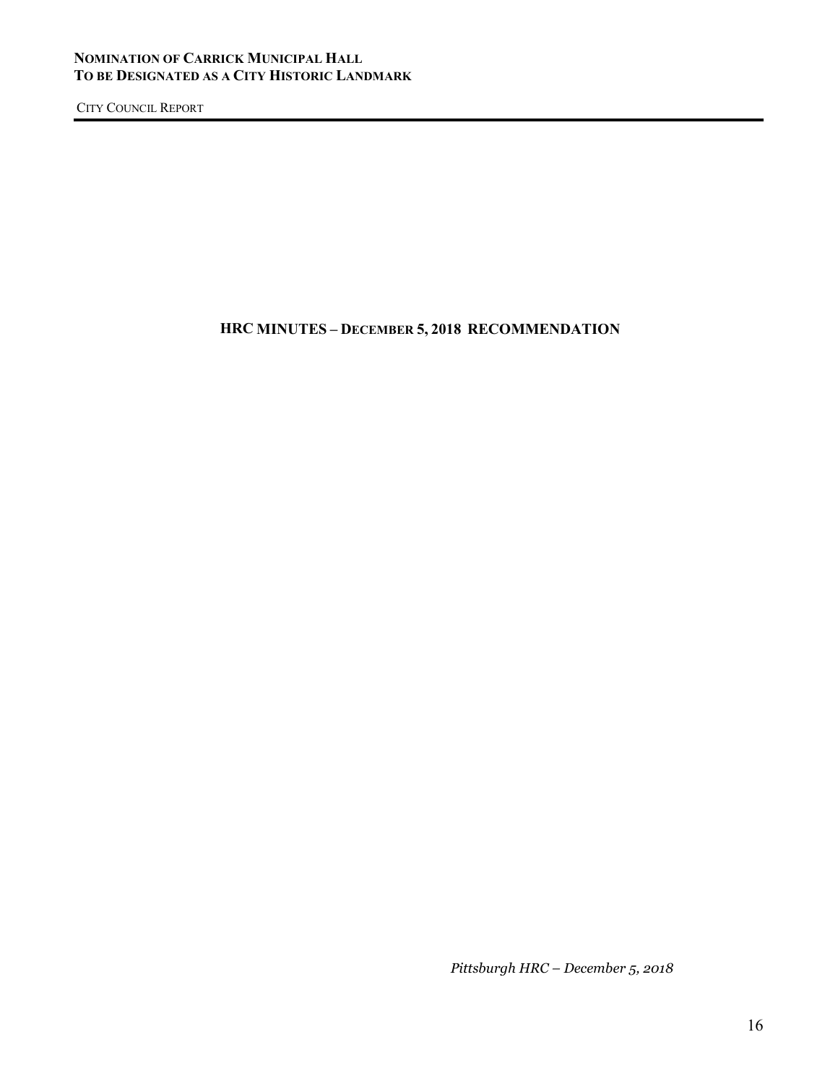CITY COUNCIL REPORT

# **HRC MINUTES – DECEMBER 5, 2018 RECOMMENDATION**

*Pittsburgh HRC – December 5, 2018*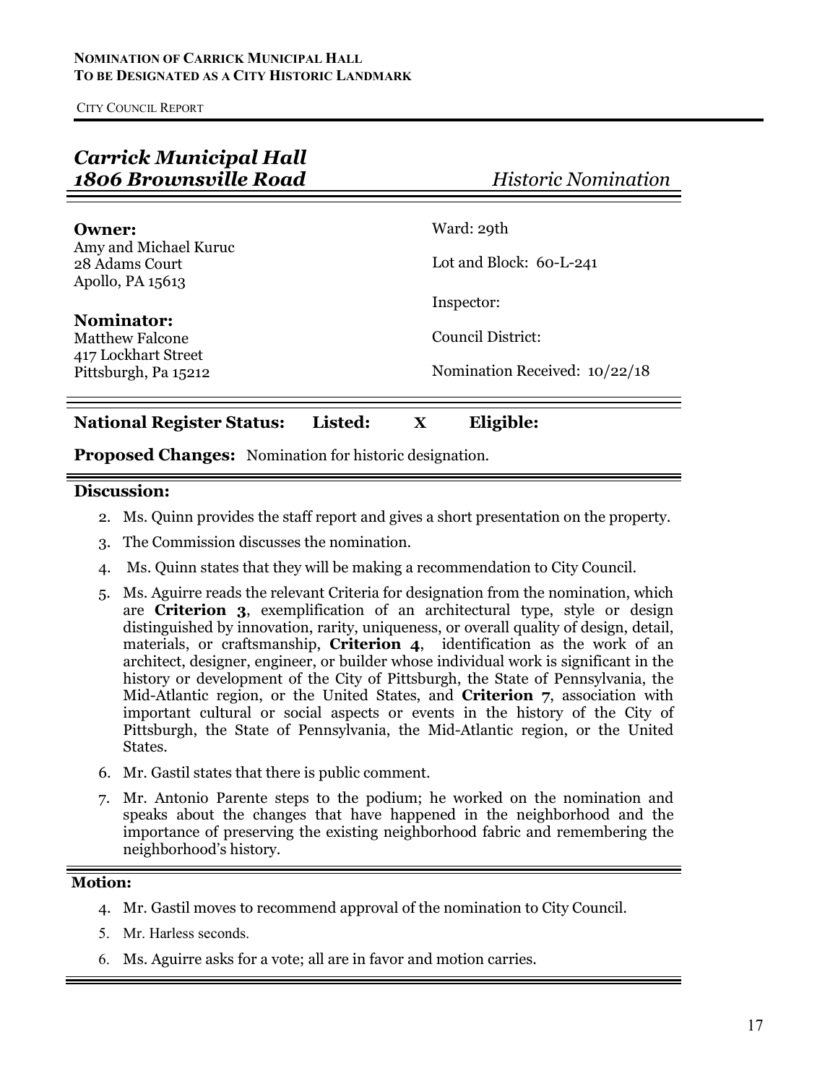CITY COUNCIL REPORT

| <b>Carrick Municipal Hall</b><br>1806 Brownsville Road                       | <b>Historic Nomination</b>                         |
|------------------------------------------------------------------------------|----------------------------------------------------|
| Owner:                                                                       | Ward: 29th                                         |
| Amy and Michael Kuruc<br>28 Adams Court<br>Apollo, PA 15613                  | Lot and Block: $60-L-241$                          |
|                                                                              | Inspector:                                         |
| Nominator:<br>Matthew Falcone<br>417 Lockhart Street<br>Pittsburgh, Pa 15212 | Council District:<br>Nomination Received: 10/22/18 |

# **National Register Status: Listed: X Eligible:**

**Proposed Changes:** Nomination for historic designation.

## **Discussion:**

- 2. Ms. Quinn provides the staff report and gives a short presentation on the property.
- 3. The Commission discusses the nomination.
- 4. Ms. Quinn states that they will be making a recommendation to City Council.
- 5. Ms. Aguirre reads the relevant Criteria for designation from the nomination, which are **Criterion 3**, exemplification of an architectural type, style or design distinguished by innovation, rarity, uniqueness, or overall quality of design, detail, materials, or craftsmanship, **Criterion 4**, identification as the work of an architect, designer, engineer, or builder whose individual work is significant in the history or development of the City of Pittsburgh, the State of Pennsylvania, the Mid-Atlantic region, or the United States, and **Criterion 7**, association with important cultural or social aspects or events in the history of the City of Pittsburgh, the State of Pennsylvania, the Mid-Atlantic region, or the United States.
- 6. Mr. Gastil states that there is public comment.
- 7. Mr. Antonio Parente steps to the podium; he worked on the nomination and speaks about the changes that have happened in the neighborhood and the importance of preserving the existing neighborhood fabric and remembering the neighborhood's history.

## **Motion:**

- 4. Mr. Gastil moves to recommend approval of the nomination to City Council.
- 5. Mr. Harless seconds.
- 6. Ms. Aguirre asks for a vote; all are in favor and motion carries.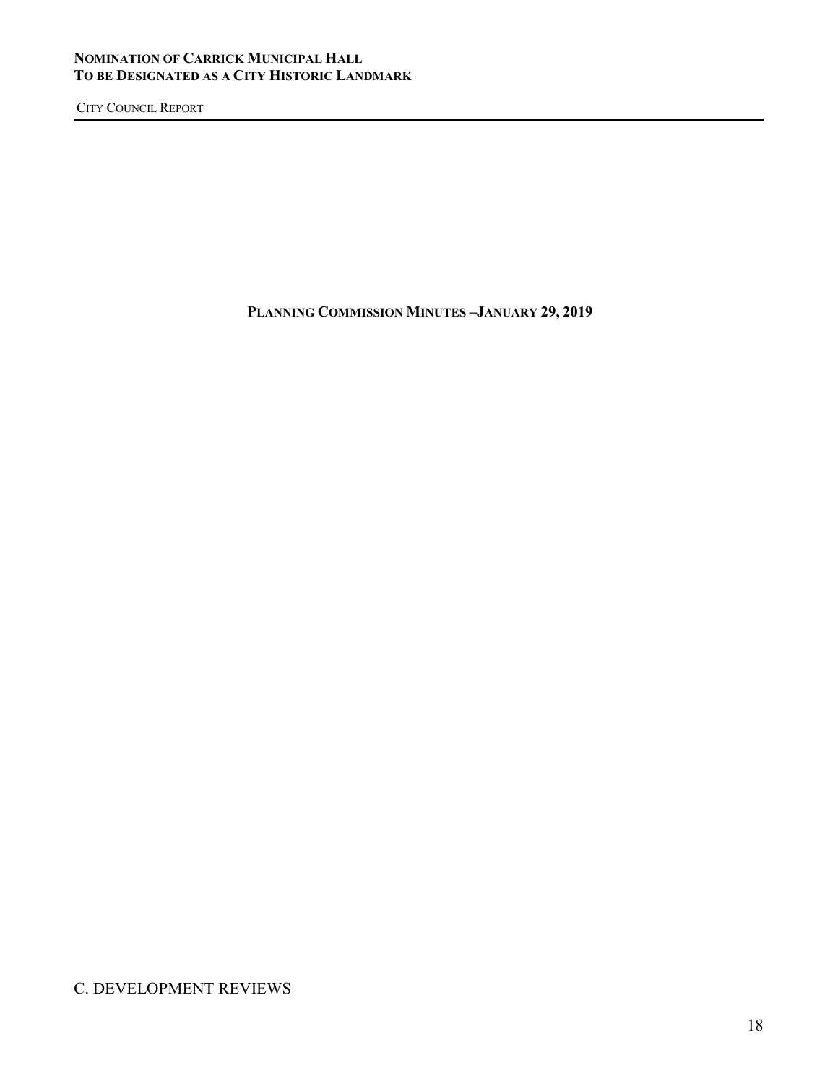CITY COUNCIL REPORT

**PLANNING COMMISSION MINUTES –JANUARY 29, 2019**

C. DEVELOPMENT REVIEWS